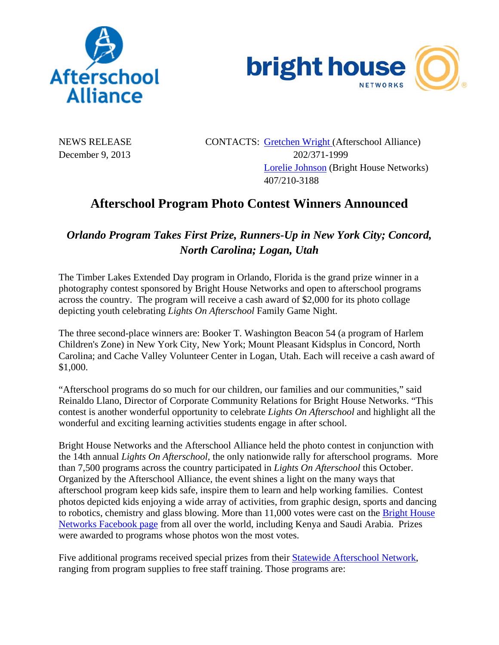



NEWS RELEASE CONTACTS: Gretchen Wright (Afterschool Alliance) December 9, 2013 202/371-1999 Lorelie Johnson (Bright House Networks) 407/210-3188

## **Afterschool Program Photo Contest Winners Announced**

## *Orlando Program Takes First Prize, Runners-Up in New York City; Concord, North Carolina; Logan, Utah*

The Timber Lakes Extended Day program in Orlando, Florida is the grand prize winner in a photography contest sponsored by Bright House Networks and open to afterschool programs across the country. The program will receive a cash award of \$2,000 for its photo collage depicting youth celebrating *Lights On Afterschool* Family Game Night.

The three second-place winners are: Booker T. Washington Beacon 54 (a program of Harlem Children's Zone) in New York City, New York; Mount Pleasant Kidsplus in Concord, North Carolina; and Cache Valley Volunteer Center in Logan, Utah. Each will receive a cash award of \$1,000.

"Afterschool programs do so much for our children, our families and our communities," said Reinaldo Llano, Director of Corporate Community Relations for Bright House Networks. "This contest is another wonderful opportunity to celebrate *Lights On Afterschool* and highlight all the wonderful and exciting learning activities students engage in after school.

Bright House Networks and the Afterschool Alliance held the photo contest in conjunction with the 14th annual *Lights On Afterschool,* the only nationwide rally for afterschool programs. More than 7,500 programs across the country participated in *Lights On Afterschool* this October. Organized by the Afterschool Alliance, the event shines a light on the many ways that afterschool program keep kids safe, inspire them to learn and help working families. Contest photos depicted kids enjoying a wide array of activities, from graphic design, sports and dancing to robotics, chemistry and glass blowing. More than 11,000 votes were cast on the Bright House Networks Facebook page from all over the world, including Kenya and Saudi Arabia. Prizes were awarded to programs whose photos won the most votes.

Five additional programs received special prizes from their Statewide Afterschool Network, ranging from program supplies to free staff training. Those programs are: